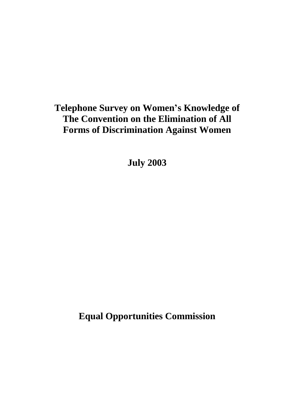# **Telephone Survey on Women's Knowledge of The Convention on the Elimination of All Forms of Discrimination Against Women**

**July 2003**

**Equal Opportunities Commission**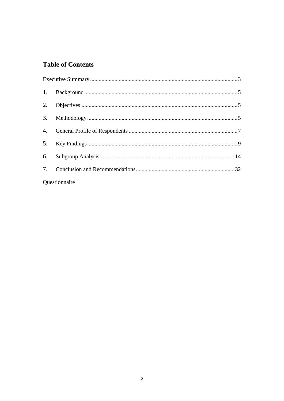## **Table of Contents**

| Questionnaire |  |
|---------------|--|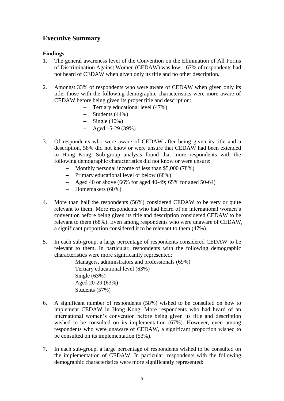### <span id="page-2-0"></span>**Executive Summary**

#### **Findings**

- 1. The general awareness level of the Convention on the Elimination of All Forms of Discrimination Against Women (CEDAW) was low – 67% of respondents had not heard of CEDAW when given only its title and no other description.
- 2. Amongst 33% of respondents who were aware of CEDAW when given only its title, those with the following demographic characteristics were more aware of CEDAW before being given its proper title and description:
	- Tertiary educational level (47%)
	- $-$  Students (44%)
	- $-$  Single (40%)
	- $-$  Aged 15-29 (39%)
- 3. Of respondents who were aware of CEDAW after being given its title and a description, 58% did not know or were unsure that CEDAW had been extended to Hong Kong. Sub-group analysis found that more respondents with the following demographic characteristics did not know or were unsure:
	- Monthly personal income of less than \$5,000 (78%)
	- Primary educational level or below (68%)
	- $-$  Aged 40 or above (66% for aged 40-49; 65% for aged 50-64)
	- Homemakers (60%)
- 4. More than half the respondents (56%) considered CEDAW to be very or quite relevant to them. More respondents who had heard of an international women's convention before being given its title and description considered CEDAW to be relevant to them (68%). Even among respondents who were unaware of CEDAW, a significant proportion considered it to be relevant to them (47%).
- 5. In each sub-group, a large percentage of respondents considered CEDAW to be relevant to them. In particular, respondents with the following demographic characteristics were more significantly represented:
	- Managers, administrators and professionals (69%)
	- Tertiary educational level (63%)
	- $-$  Single (63%)
	- $-$  Aged 20-29 (63%)
	- $-$  Students (57%)
- 6. A significant number of respondents (58%) wished to be consulted on how to implement CEDAW in Hong Kong. More respondents who had heard of an international women's convention before being given its title and description wished to be consulted on its implementation (67%). However, even among respondents who were unaware of CEDAW, a significant proportion wished to be consulted on its implementation (53%).
- 7. In each sub-group, a large percentage of respondents wished to be consulted on the implementation of CEDAW. In particular, respondents with the following demographic characteristics were more significantly represented: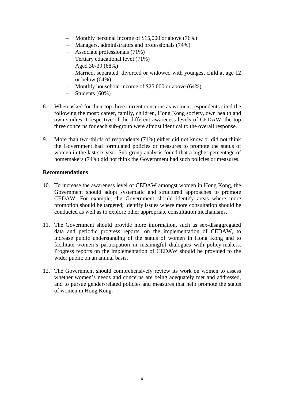- Monthly personal income of \$15,000 or above (76%)
- Managers, administrators and professionals (74%)
- Associate professionals (71%)
- Tertiary educational level (71%)
- $-$  Aged 30-39 (68%)
- Married, separated, divorced or widowed with youngest child at age 12 or below (64%)
- $-$  Monthly household income of \$25,000 or above (64%)
- $-$  Students (60%)
- 8. When asked for their top three current concerns as women, respondents cited the following the most: career, family, children, Hong Kong society, own health and own studies. Irrespective of the different awareness levels of CEDAW, the top three concerns for each sub-group were almost identical to the overall response.
- 9. More than two-thirds of respondents (71%) either did not know or did not think the Government had formulated policies or measures to promote the status of women in the last six year. Sub group analysis found that a higher percentage of homemakers (74%) did not think the Government had such policies or measures.

#### **Recommendations**

- 10. To increase the awareness level of CEDAW amongst women in Hong Kong, the Government should adopt systematic and structured approaches to promote CEDAW. For example, the Government should identify areas where more promotion should be targeted; identify issues where more consultation should be conducted as well as to explore other appropriate consultation mechanisms.
- 11. The Government should provide more information, such as sex-disaggregated data and periodic progress reports, on the implementation of CEDAW, to increase public understanding of the status of women in Hong Kong and to facilitate women's participation in meaningful dialogues with policy-makers. Progress reports on the implementation of CEDAW should be provided to the wider public on an annual basis.
- 12. The Government should comprehensively review its work on women to assess whether women's needs and concerns are being adequately met and addressed, and to pursue gender-related policies and measures that help promote the status of women in Hong Kong.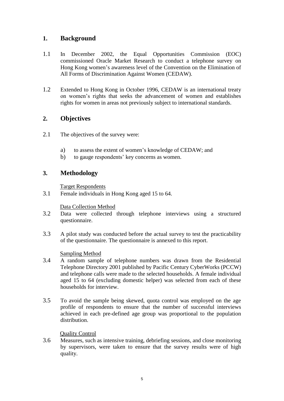### <span id="page-4-0"></span>**1. Background**

- 1.1 In December 2002, the Equal Opportunities Commission (EOC) commissioned Oracle Market Research to conduct a telephone survey on Hong Kong women's awareness level of the Convention on the Elimination of All Forms of Discrimination Against Women (CEDAW).
- 1.2 Extended to Hong Kong in October 1996, CEDAW is an international treaty on women's rights that seeks the advancement of women and establishes rights for women in areas not previously subject to international standards.

### <span id="page-4-1"></span>**2. Objectives**

- 2.1 The objectives of the survey were:
	- a) to assess the extent of women's knowledge of CEDAW; and
	- b) to gauge respondents' key concerns as women.

### <span id="page-4-2"></span>**3. Methodology**

Target Respondents

3.1 Female individuals in Hong Kong aged 15 to 64.

#### Data Collection Method

- 3.2 Data were collected through telephone interviews using a structured questionnaire.
- 3.3 A pilot study was conducted before the actual survey to test the practicability of the questionnaire. The questionnaire is annexed to this report.

#### Sampling Method

- 3.4 A random sample of telephone numbers was drawn from the Residential Telephone Directory 2001 published by Pacific Century CyberWorks (PCCW) and telephone calls were made to the selected households. A female individual aged 15 to 64 (excluding domestic helper) was selected from each of these households for interview.
- 3.5 To avoid the sample being skewed, quota control was employed on the age profile of respondents to ensure that the number of successful interviews achieved in each pre-defined age group was proportional to the population distribution.

#### Quality Control

3.6 Measures, such as intensive training, debriefing sessions, and close monitoring by supervisors, were taken to ensure that the survey results were of high quality.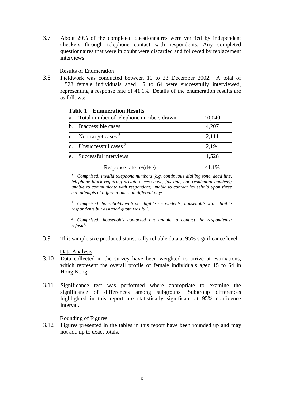3.7 About 20% of the completed questionnaires were verified by independent checkers through telephone contact with respondents. Any completed questionnaires that were in doubt were discarded and followed by replacement interviews.

Results of Enumeration

3.8 Fieldwork was conducted between 10 to 23 December 2002. A total of 1,528 female individuals aged 15 to 64 were successfully interviewed, representing a response rate of 41.1%. Details of the enumeration results are as follows:

| a. | Total number of telephone numbers drawn | 10,040 |  |  |
|----|-----------------------------------------|--------|--|--|
| b. | Inaccessible cases $1$                  | 4,207  |  |  |
|    | Non-target cases <sup>2</sup>           | 2,111  |  |  |
|    | Unsuccessful cases <sup>3</sup>         | 2,194  |  |  |
| e. | Successful interviews                   | 1,528  |  |  |
|    | Response rate $[e/(d+e)]$               | 41.1%  |  |  |

#### **Table 1 – Enumeration Results**

*<sup>1</sup> Comprised: invalid telephone numbers (e.g. continuous dialling tone, dead line, telephone block requiring private access code, fax line, non-residential number); unable to communicate with respondent; unable to contact household upon three call attempts at different times on different days.*

*<sup>2</sup> Comprised: households with no eligible respondents; households with eligible respondents but assigned quota was full.*

*<sup>3</sup> Comprised: households contacted but unable to contact the respondents; refusals.*

3.9 This sample size produced statistically reliable data at 95% significance level.

Data Analysis

- 3.10 Data collected in the survey have been weighted to arrive at estimations, which represent the overall profile of female individuals aged 15 to 64 in Hong Kong.
- 3.11 Significance test was performed where appropriate to examine the significance of differences among subgroups. Subgroup differences highlighted in this report are statistically significant at 95% confidence interval.

#### Rounding of Figures

3.12 Figures presented in the tables in this report have been rounded up and may not add up to exact totals.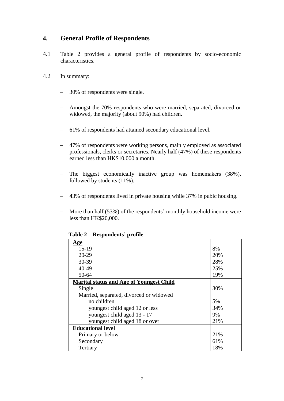### <span id="page-6-0"></span>**4. General Profile of Respondents**

- 4.1 Table 2 provides a general profile of respondents by socio-economic characteristics.
- 4.2 In summary:
	- 30% of respondents were single.
	- Amongst the 70% respondents who were married, separated, divorced or widowed, the majority (about 90%) had children.
	- 61% of respondents had attained secondary educational level.
	- 47% of respondents were working persons, mainly employed as associated professionals, clerks or secretaries. Nearly half (47%) of these respondents earned less than HK\$10,000 a month.
	- The biggest economically inactive group was homemakers (38%), followed by students (11%).
	- 43% of respondents lived in private housing while 37% in pubic housing.
	- More than half (53%) of the respondents' monthly household income were less than HK\$20,000.

| <u>Age</u>                                      |     |
|-------------------------------------------------|-----|
| $15-19$                                         | 8%  |
| $20-29$                                         | 20% |
| 30-39                                           | 28% |
| 40-49                                           | 25% |
| 50-64                                           | 19% |
| <b>Marital status and Age of Youngest Child</b> |     |
| Single                                          | 30% |
| Married, separated, divorced or widowed         |     |
| no children                                     | 5%  |
| youngest child aged 12 or less                  | 34% |
| youngest child aged 13 - 17                     | 9%  |
| youngest child aged 18 or over                  | 21% |
| <b>Educational level</b>                        |     |
| Primary or below                                | 21% |
| Secondary                                       | 61% |
| Tertiary                                        | 18% |

**Table 2 – Respondents' profile**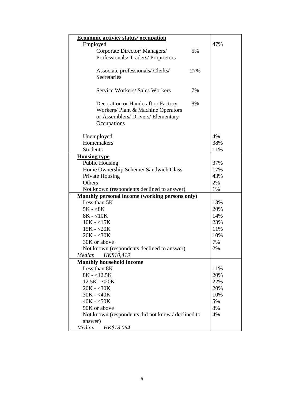| <b>Economic activity status/ occupation</b>           |     |     |
|-------------------------------------------------------|-----|-----|
| Employed                                              |     | 47% |
| Corporate Director/Managers/                          | 5%  |     |
| Professionals/Traders/Proprietors                     |     |     |
|                                                       |     |     |
| Associate professionals/ Clerks/                      | 27% |     |
| Secretaries                                           |     |     |
|                                                       |     |     |
| <b>Service Workers/ Sales Workers</b>                 | 7%  |     |
|                                                       |     |     |
| Decoration or Handcraft or Factory                    | 8%  |     |
| Workers/ Plant & Machine Operators                    |     |     |
| or Assemblers/Drivers/Elementary                      |     |     |
| Occupations                                           |     |     |
|                                                       |     |     |
| Unemployed                                            |     | 4%  |
| Homemakers                                            |     | 38% |
| <b>Students</b>                                       |     | 11% |
| <b>Housing type</b>                                   |     |     |
| <b>Public Housing</b>                                 |     | 37% |
| Home Ownership Scheme/ Sandwich Class                 |     | 17% |
| Private Housing                                       |     | 43% |
| Others                                                |     | 2%  |
| Not known (respondents declined to answer)            |     | 1%  |
| <b>Monthly personal income (working persons only)</b> |     |     |
| Less than 5K                                          |     | 13% |
| $5K - 8K$                                             |     | 20% |
| $8K - 10K$                                            |     | 14% |
| $10K - 15K$                                           |     | 23% |
| $15K - 20K$                                           |     | 11% |
| $20K - 30K$                                           |     | 10% |
| 30K or above                                          |     | 7%  |
| Not known (respondents declined to answer)            |     | 2%  |
| HK\$10,419<br>Median                                  |     |     |
| <b>Monthly household income</b>                       |     |     |
| Less than 8K                                          |     | 11% |
| $8K - 12.5K$                                          |     | 20% |
| $12.5K - 20K$                                         |     | 22% |
| $20K - 30K$                                           |     | 20% |
| $30K - 40K$                                           |     | 10% |
| $40K - 50K$                                           |     | 5%  |
| 50K or above                                          |     | 8%  |
| Not known (respondents did not know / declined to     |     | 4%  |
| answer)                                               |     |     |
| Median<br>HK\$18,064                                  |     |     |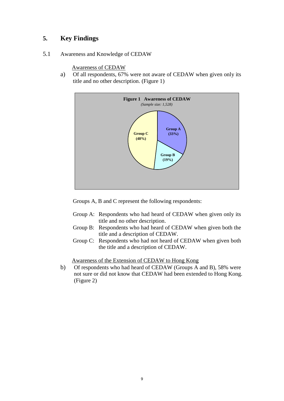### <span id="page-8-0"></span>**5. Key Findings**

5.1 Awareness and Knowledge of CEDAW

Awareness of CEDAW

a) Of all respondents, 67% were not aware of CEDAW when given only its title and no other description. (Figure 1)



Groups A, B and C represent the following respondents:

- Group A: Respondents who had heard of CEDAW when given only its title and no other description.
- Group B: Respondents who had heard of CEDAW when given both the title and a description of CEDAW.
- Group C: Respondents who had not heard of CEDAW when given both the title and a description of CEDAW.

Awareness of the Extension of CEDAW to Hong Kong

b) Of respondents who had heard of CEDAW (Groups A and B), 58% were not sure or did not know that CEDAW had been extended to Hong Kong. (Figure 2)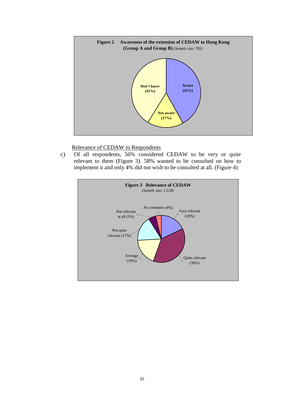

#### Relevance of CEDAW to Respondents

c) Of all respondents, 56% considered CEDAW to be very or quite relevant to them (Figure 3). 58% wanted to be consulted on how to implement it and only 4% did not wish to be consulted at all. (Figure 4)

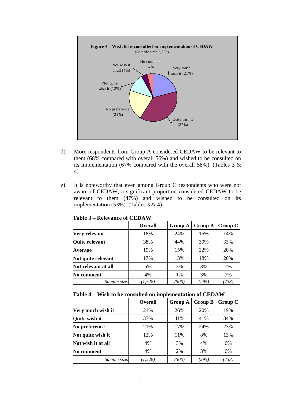

- d) More respondents from Group A considered CEDAW to be relevant to them (68% compared with overall 56%) and wished to be consulted on its implementation (67% compared with the overall 58%). (Tables 3  $\&$ 4)
- e) It is noteworthy that even among Group C respondents who were not aware of CEDAW, a significant proportion considered CEDAW to be relevant to them (47%) and wished to be consulted on its implementation  $(53\%)$ . (Tables 3 & 4)

|                     | <b>Overall</b> | <b>Group A</b> | <b>Group B</b> | Group C |
|---------------------|----------------|----------------|----------------|---------|
| Very relevant       | 18%            | 24%            | 15%            | 14%     |
| Quite relevant      | 38%            | 44%            | 39%            | 33%     |
| <b>Average</b>      | 19%            | 15%            | 22%            | 20%     |
| Not quite relevant  | 17%            | 13%            | 18%            | 20%     |
| Not relevant at all | 5%             | 3%             | 3%             | 7%      |
| No comment          | 4%             | $1\%$          | 3%             | 7%      |
| Sample size:        | (1,528)        | (500)          | (295)          | (733)   |

**Table 3 – Relevance of CEDAW**

#### **Table 4** – **Wish to be consulted on implementation of CEDAW**

|                      | <b>Overall</b> | <b>Group A</b> | <b>Group B</b> | Group C |
|----------------------|----------------|----------------|----------------|---------|
| Very much wish it    | 21%            | 26%            | 20%            | 19%     |
| <b>Quite wish it</b> | 37%            | 41%            | 41%            | 34%     |
| No preference        | 21%            | 17%            | 24%            | 23%     |
| Not quite wish it    | 12%            | 11%            | 8%             | 13%     |
| Not wish it at all   | 4%             | 3%             | 4%             | 6%      |
| No comment           | 4%             | 2%             | 3%             | 6%      |
| Sample size:         | (1, 528)       | (500)          | (295)          | (733)   |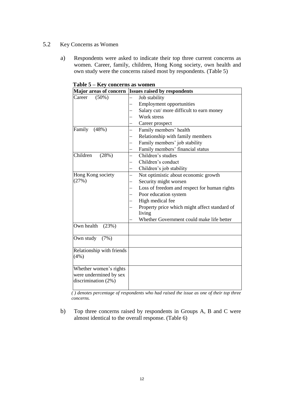#### 5.2 Key Concerns as Women

a) Respondents were asked to indicate their top three current concerns as women. Career, family, children, Hong Kong society, own health and own study were the concerns raised most by respondents. (Table 5)

| Major areas of concern                                                  | <b>Issues raised by respondents</b>           |
|-------------------------------------------------------------------------|-----------------------------------------------|
| Career<br>$(50\%)$                                                      | Job stability                                 |
|                                                                         | <b>Employment opportunities</b>               |
|                                                                         | Salary cut/ more difficult to earn money      |
|                                                                         | Work stress                                   |
|                                                                         | Career prospect                               |
| Family<br>(48%)                                                         | Family members' health                        |
|                                                                         | Relationship with family members              |
|                                                                         | Family members' job stability                 |
|                                                                         | Family members' financial status              |
| Children<br>(28%)                                                       | Children's studies                            |
|                                                                         | Children's conduct                            |
|                                                                         | Children's job stability                      |
| Hong Kong society                                                       | Not optimistic about economic growth          |
| (27%)                                                                   | Security might worsen                         |
|                                                                         | Loss of freedom and respect for human rights  |
|                                                                         | Poor education system                         |
|                                                                         | High medical fee                              |
|                                                                         | Property price which might affect standard of |
|                                                                         | living                                        |
|                                                                         | Whether Government could make life better     |
| Own health<br>(23%)                                                     |                                               |
| Own study<br>(7%)                                                       |                                               |
| Relationship with friends<br>(4%)                                       |                                               |
| Whether women's rights<br>were undermined by sex<br>discrimination (2%) |                                               |

**Table 5 – Key concerns as women**

*( ) denotes percentage of respondents who had raised the issue as one of their top three concerns.*

b) Top three concerns raised by respondents in Groups A, B and C were almost identical to the overall response. (Table 6)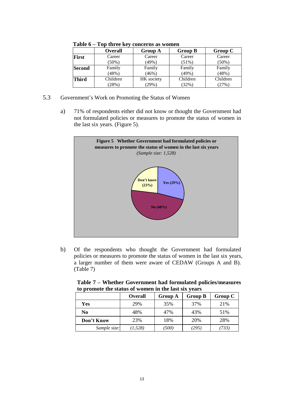|               | <b>Overall</b> | <b>Group A</b> | <b>Group B</b> | <b>Group C</b> |
|---------------|----------------|----------------|----------------|----------------|
| <b>First</b>  | Career         | Career         | Career         | Career         |
|               | $(50\%)$       | (49%)          | (51%)          | (50%)          |
| <b>Second</b> | Family         | Family         | Family         | Family         |
|               | (48%)          | $(46\%)$       | (49%)          | (48%)          |
| <b>Third</b>  | Children       | HK society     | Children       | Children       |
|               | (28%)          | (29%)          | (32%)          | (27%)          |

**Table 6 – Top three key concerns as women**

- 5.3 Government's Work on Promoting the Status of Women
	- a) 71% of respondents either did not know or thought the Government had not formulated policies or measures to promote the status of women in the last six years. (Figure 5).



b) Of the respondents who thought the Government had formulated policies or measures to promote the status of women in the last six years, a larger number of them were aware of CEDAW (Groups A and B). (Table 7)

| to promote the status of women in the last six years |                |                |                |         |
|------------------------------------------------------|----------------|----------------|----------------|---------|
|                                                      | <b>Overall</b> | <b>Group A</b> | <b>Group B</b> | Group C |
| Yes                                                  | 29%            | 35%            | 37%            | 21%     |
| No                                                   | 48%            | 47%            | 43%            | 51%     |
| Don't Know                                           | 23%            | 18%            | 20%            | 28%     |
| Sample size:                                         | (1, 528)       | (500)          | (295)          | 733)    |

**Table 7 – Whether Government had formulated policies/measures to promote the status of women in the last six years**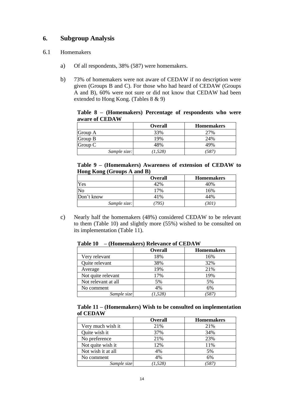### <span id="page-13-0"></span>**6. Subgroup Analysis**

#### 6.1 Homemakers

- a) Of all respondents, 38% (587) were homemakers.
- b) 73% of homemakers were not aware of CEDAW if no description were given (Groups B and C). For those who had heard of CEDAW (Groups A and B), 60% were not sure or did not know that CEDAW had been extended to Hong Kong. (Tables 8 & 9)

**Table 8 – (Homemakers) Percentage of respondents who were aware of CEDAW**

|              | <b>Overall</b> | <b>Homemakers</b> |
|--------------|----------------|-------------------|
| Group A      | 33%            | 27%               |
| Group B      | 19%            | 24%               |
| Group C      | 48%            | 49%               |
| Sample size: | (1,528)        | 587               |

| Table 9 – (Homemakers) Awareness of extension of CEDAW to |  |  |  |
|-----------------------------------------------------------|--|--|--|
| Hong Kong (Groups A and B)                                |  |  |  |

|              | <b>Overall</b> | <b>Homemakers</b> |
|--------------|----------------|-------------------|
| Yes          | 42%            | 40%               |
| No           | 17%            | 16%               |
| Don't know   | 41%            | 44%               |
| Sample size: | 795.           | (301)             |

c) Nearly half the homemakers (48%) considered CEDAW to be relevant to them (Table 10) and slightly more (55%) wished to be consulted on its implementation (Table 11).

|                     | <b>Overall</b> | <b>Homemakers</b> |
|---------------------|----------------|-------------------|
| Very relevant       | 18%            | 16%               |
| Quite relevant      | 38%            | 32%               |
| Average             | 19%            | 21%               |
| Not quite relevant  | 17%            | 19%               |
| Not relevant at all | 5%             | 5%                |
| No comment          | 4%             | 6%                |
| Sample size         | (1, 528)       | 587               |

**Table 10 – (Homemakers) Relevance of CEDAW**

| Table $11 - (Homemakers)$ Wish to be consulted on implementation |  |  |
|------------------------------------------------------------------|--|--|
| of CEDAW                                                         |  |  |

|                    | <b>Overall</b> | <b>Homemakers</b> |
|--------------------|----------------|-------------------|
| Very much wish it  | 21%            | 21%               |
| Quite wish it      | 37%            | 34%               |
| No preference      | 21%            | 23%               |
| Not quite wish it  | 12%            | 11%               |
| Not wish it at all | 4%             | 5%                |
| No comment         | 4%             | 6%                |
| Sample size        | (1, 528)       | 587               |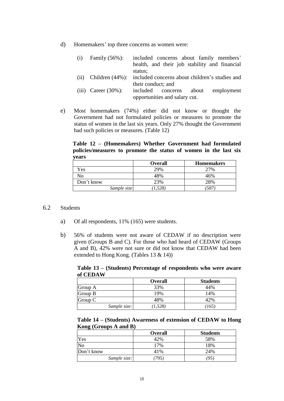d) Homemakers' top three concerns as women were:

| (i)  | Family $(56\%)$ :       | included concerns about family members'        |  |  |
|------|-------------------------|------------------------------------------------|--|--|
|      |                         | health, and their job stability and financial  |  |  |
|      |                         | status;                                        |  |  |
| (ii) | Children $(44\%)$ :     | included concerns about children's studies and |  |  |
|      |                         | their conduct; and                             |  |  |
|      | (iii) Career $(30\%)$ : | included concerns<br>employment<br>about       |  |  |
|      |                         | opportunities and salary cut.                  |  |  |

e) Most homemakers (74%) either did not know or thought the Government had not formulated policies or measures to promote the status of women in the last six years. Only 27% thought the Government had such policies or measures. (Table 12)

**Table 12 – (Homemakers) Whether Government had formulated policies/measures to promote the status of women in the last six years**

|             | <b>Overall</b> | <b>Homemakers</b> |
|-------------|----------------|-------------------|
| Yes         | 29%            | 27%               |
| No          | 48%            | 16%               |
| Don't know  | 23%            | 28%               |
| Sample size | 1.528)         | 587               |

#### 6.2 Students

- a) Of all respondents, 11% (165) were students.
- b) 56% of students were not aware of CEDAW if no description were given (Groups B and C). For those who had heard of CEDAW (Groups A and B), 42% were not sure or did not know that CEDAW had been extended to Hong Kong. (Tables 13 & 14))

**Table 13 – (Students) Percentage of respondents who were aware of CEDAW**

|              | <b>Overall</b> | <b>Students</b> |
|--------------|----------------|-----------------|
| Group A      | 33%            | 44%             |
| Group B      | 19%            | 14%             |
| Group C      | 48%            | 42%             |
| Sample size: | (1, 528)       | (165)           |

**Table 14 – (Students) Awareness of extension of CEDAW to Hong Kong (Groups A and B)**

|              | <b>Overall</b> | <b>Students</b> |
|--------------|----------------|-----------------|
| Yes          | 42%            | 58%             |
| No           | 7%             | 18%             |
| Don't know   | 41%            | 24%             |
| Sample size: | 795)           | (95)            |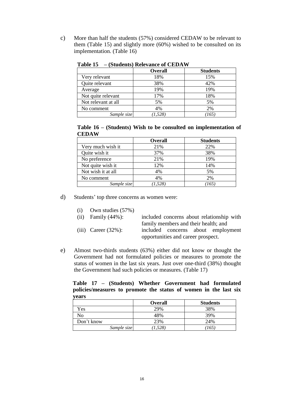c) More than half the students (57%) considered CEDAW to be relevant to them (Table 15) and slightly more (60%) wished to be consulted on its implementation. (Table 16)

|                     | <b>Overall</b> | <b>Students</b> |
|---------------------|----------------|-----------------|
| Very relevant       | 18%            | 15%             |
| Quite relevant      | 38%            | 42%             |
| Average             | 19%            | 19%             |
| Not quite relevant  | 17%            | 18%             |
| Not relevant at all | 5%             | 5%              |
| No comment          | 4%             | 2%              |
| Sample size         | (1, 528)       | 165             |

**Table 15 – (Students) Relevance of CEDAW**

| Table $16$ – (Students) Wish to be consulted on implementation of |  |  |  |
|-------------------------------------------------------------------|--|--|--|
| <b>CEDAW</b>                                                      |  |  |  |

|                    | <b>Overall</b> | <b>Students</b> |
|--------------------|----------------|-----------------|
| Very much wish it  | 21%            | 22%             |
| Quite wish it      | 37%            | 38%             |
| No preference      | 21%            | 19%             |
| Not quite wish it  | 12%            | 14%             |
| Not wish it at all | 4%             | 5%              |
| No comment         | 4%             | 2%              |
| Sample size        | (1, 528)       | (165)           |

d) Students' top three concerns as women were:

| Own studies (57%) | (i) |  |  |  |
|-------------------|-----|--|--|--|
|-------------------|-----|--|--|--|

| (ii) Family $(44\%)$ :  |                                    |                                      |  | included concerns about relationship with |
|-------------------------|------------------------------------|--------------------------------------|--|-------------------------------------------|
|                         |                                    | family members and their health; and |  |                                           |
| (iii) Career $(32\%)$ : |                                    |                                      |  | included concerns about employment        |
|                         | opportunities and career prospect. |                                      |  |                                           |

e) Almost two-thirds students (63%) either did not know or thought the Government had not formulated policies or measures to promote the status of women in the last six years. Just over one-third (38%) thought the Government had such policies or measures. (Table 17)

**Table 17 – (Students) Whether Government had formulated policies/measures to promote the status of women in the last six years**

|             | <b>Overall</b> | <b>Students</b> |
|-------------|----------------|-----------------|
| Yes         | 29%            | 38%             |
| No          | 48%            | 39%             |
| Don't know  | 23%            | 24%             |
| Sample size | 1,528          | 165             |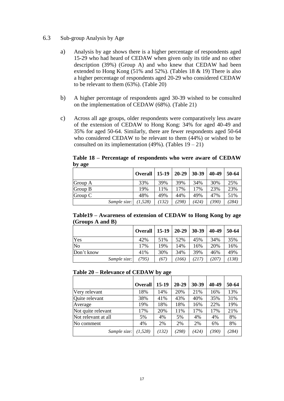#### 6.3 Sub-group Analysis by Age

- a) Analysis by age shows there is a higher percentage of respondents aged 15-29 who had heard of CEDAW when given only its title and no other description (39%) (Group A) and who knew that CEDAW had been extended to Hong Kong (51% and 52%). (Tables 18 & 19) There is also a higher percentage of respondents aged 20-29 who considered CEDAW to be relevant to them (63%). (Table 20)
- b) A higher percentage of respondents aged 30-39 wished to be consulted on the implementation of CEDAW (68%). (Table 21)
- c) Across all age groups, older respondents were comparatively less aware of the extension of CEDAW to Hong Kong: 34% for aged 40-49 and 35% for aged 50-64. Similarly, there are fewer respondents aged 50-64 who considered CEDAW to be relevant to them (44%) or wished to be consulted on its implementation  $(49\%)$ . (Tables  $19-21$ )

| $\sim$ y $\sim$ n $\sim$ |                |         |           |       |       |       |
|--------------------------|----------------|---------|-----------|-------|-------|-------|
|                          | <b>Overall</b> | $15-19$ | $20 - 29$ | 30-39 | 40-49 | 50-64 |
| Group A                  | 33%            | 39%     | 39%       | 34%   | 30%   | 25%   |
| Group B                  | 19%            | 11%     | 17%       | 17%   | 23%   | 23%   |
| Group C                  | 48%            | 49%     | 44%       | 49%   | 47%   | 51%   |
| Sample size:             | (1,528)        | (132)   | (298)     | (424) | (390) | (284) |

**Table 18 – Percentage of respondents who were aware of CEDAW by age**

| Table19 – Awareness of extension of CEDAW to Hong Kong by age |  |  |
|---------------------------------------------------------------|--|--|
| (Groups A and B)                                              |  |  |

|                | <b>Overall</b> | $15-19$ | $20 - 29$ | 30-39 | 40-49 | 50-64 |
|----------------|----------------|---------|-----------|-------|-------|-------|
| Yes            | 42%            | 51%     | 52%       | 45%   | 34%   | 35%   |
| N <sub>o</sub> | 17%            | 19%     | 14%       | 16%   | 20%   | 16%   |
| Don't know     | 41%            | 30%     | 34%       | 39%   | 46%   | 49%   |
| Sample size:   | (795)          | (67)    | 766)      | (217) | (207) | (138) |

#### **Table 20 – Relevance of CEDAW by age**

|                     | <b>Overall</b> | 15-19 | $20 - 29$ | 30-39 | 40-49 | 50-64 |
|---------------------|----------------|-------|-----------|-------|-------|-------|
| Very relevant       | 18%            | 14%   | 20%       | 21%   | 16%   | 13%   |
| Quite relevant      | 38%            | 41%   | 43%       | 40%   | 35%   | 31%   |
| Average             | 19%            | 18%   | 18%       | 16%   | 22%   | 19%   |
| Not quite relevant  | 17%            | 20%   | 11%       | 17%   | 17%   | 21%   |
| Not relevant at all | 5%             | 4%    | 5%        | 4%    | 4%    | 8%    |
| No comment          | 4%             | 2%    | 2%        | 2%    | 6%    | 8%    |
| Sample size:        | (1,528)        | (132) | (298)     | (424) | (390) | (284) |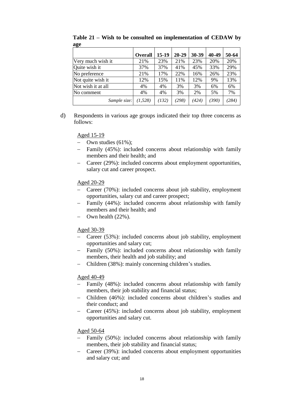|                    | <b>Overall</b> | $15-19$ | $20 - 29$ | 30-39 | 40-49 | 50-64 |
|--------------------|----------------|---------|-----------|-------|-------|-------|
| Very much wish it  | 21%            | 23%     | 21%       | 23%   | 20%   | 20%   |
| Quite wish it      | 37%            | 37%     | 41%       | 45%   | 33%   | 29%   |
| No preference      | 21%            | 17%     | 22%       | 16%   | 26%   | 23%   |
| Not quite wish it  | 12%            | 15%     | 11%       | 12%   | 9%    | 13%   |
| Not wish it at all | 4%             | 4%      | 3%        | 3%    | 6%    | 6%    |
| No comment         | 4%             | 4%      | 3%        | 2%    | 5%    | 7%    |
| Sample size:       | (1, 528)       | (132)   | (298)     | (424) | (390) | (284) |

**Table 21 – Wish to be consulted on implementation of CEDAW by age**

d) Respondents in various age groups indicated their top three concerns as follows:

#### Aged 15-19

- $-$  Own studies (61%);
- Family (45%): included concerns about relationship with family members and their health; and
- Career (29%): included concerns about employment opportunities, salary cut and career prospect.

#### Aged 20-29

- Career (70%): included concerns about job stability, employment opportunities, salary cut and career prospect;
- Family (44%): included concerns about relationship with family members and their health; and
- $-$  Own health  $(22\%)$ .

#### Aged 30-39

- Career (53%): included concerns about job stability, employment opportunities and salary cut;
- Family (50%): included concerns about relationship with family members, their health and job stability; and
- Children (38%): mainly concerning children's studies.

#### Aged 40-49

- Family (48%): included concerns about relationship with family members, their job stability and financial status;
- Children (46%): included concerns about children's studies and their conduct; and
- Career (45%): included concerns about job stability, employment opportunities and salary cut.

#### Aged 50-64

- Family (50%): included concerns about relationship with family members, their job stability and financial status;
- Career (39%): included concerns about employment opportunities and salary cut; and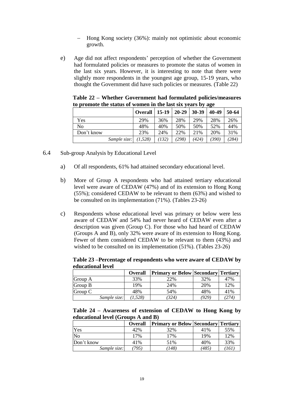- Hong Kong society (36%): mainly not optimistic about economic growth.
- e) Age did not affect respondents' perception of whether the Government had formulated policies or measures to promote the status of women in the last six years. However, it is interesting to note that there were slightly more respondents in the youngest age group, 15-19 years, who thought the Government did have such policies or measures. (Table 22)

| to promote the status or women in the last six years by age |              |         |         |           |       |       |       |
|-------------------------------------------------------------|--------------|---------|---------|-----------|-------|-------|-------|
|                                                             |              | Overall | $15-19$ | $20 - 29$ | 30-39 | 40-49 | 50-64 |
| Yes                                                         |              | 29%     | 36%     | 28%       | 29%   | 28%   | 26%   |
| N <sub>0</sub>                                              |              | 48%     | 40%     | 50%       | 50%   | 52%   | 44%   |
| Don't know                                                  |              | 23%     | 24%     | 22%       | 21%   | 20%   | 31%   |
|                                                             | Sample size: | (1,528) | (132)   | (298)     | (424) | (390) | (284) |

**Table 22 – Whether Government had formulated policies/measures to promote the status of women in the last six years by age**

- 6.4 Sub-group Analysis by Educational Level
	- a) Of all respondents, 61% had attained secondary educational level.
	- b) More of Group A respondents who had attained tertiary educational level were aware of CEDAW (47%) and of its extension to Hong Kong (55%); considered CEDAW to be relevant to them (63%) and wished to be consulted on its implementation (71%). (Tables 23-26)
	- c) Respondents whose educational level was primary or below were less aware of CEDAW and 54% had never heard of CEDAW even after a description was given (Group C). For those who had heard of CEDAW (Groups A and B), only 32% were aware of its extension to Hong Kong. Fewer of them considered CEDAW to be relevant to them (43%) and wished to be consulted on its implementation (51%). (Tables 23-26)

**Table 23 –Percentage of respondents who were aware of CEDAW by educational level**

|              | <b>Overall</b> | <b>Primary or Below Secondary Tertiary</b> |       |       |
|--------------|----------------|--------------------------------------------|-------|-------|
| Group A      | 33%            | 22%                                        | 32%   | 47%   |
| Group B      | 19%            | 24%                                        | 20%   | 12%   |
| Group C      | 48%            | 54%                                        | 48%   | 41%   |
| Sample size: | (1,528)        | (324)                                      | (929) | (274) |

**Table 24 – Awareness of extension of CEDAW to Hong Kong by educational level (Groups A and B)**

|              | <b>Overall</b> | <b>Primary or Below Secondary Tertiary</b> |       |     |
|--------------|----------------|--------------------------------------------|-------|-----|
| Yes          | 42%            | 32%                                        | 41%   | 55% |
| No           | 17%            | 17%                                        | 19%   | 12% |
| Don't know   | 41%            | 51%                                        | 40%   | 33% |
| Sample size: | 795)           | 748)                                       | (485) | 761 |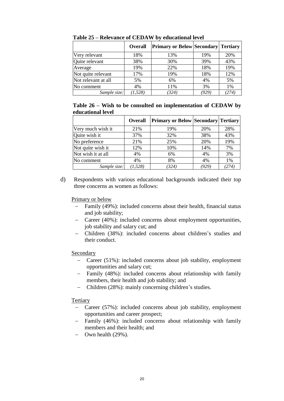|                     | <b>Overall</b> | <b>Primary or Below Secondary Tertiary</b> |       |       |
|---------------------|----------------|--------------------------------------------|-------|-------|
| Very relevant       | 18%            | 13%                                        | 19%   | 20%   |
| Quite relevant      | 38%            | 30%                                        | 39%   | 43%   |
| Average             | 19%            | 22%                                        | 18%   | 19%   |
| Not quite relevant  | 17%            | 19%                                        | 18%   | 12%   |
| Not relevant at all | 5%             | 6%                                         | 4%    | 5%    |
| No comment          | 4%             | 11%                                        | 3%    | 1%    |
| Sample size:        | (1, 528)       | (324)                                      | (929) | (274) |

**Table 25 – Relevance of CEDAW by educational level**

**Table 26 – Wish to be consulted on implementation of CEDAW by educational level**

|                    | <b>Overall</b> | <b>Primary or Below Secondary Tertiary</b> |       |       |
|--------------------|----------------|--------------------------------------------|-------|-------|
| Very much wish it  | 21%            | 19%                                        | 20%   | 28%   |
| Quite wish it      | 37%            | 32%                                        | 38%   | 43%   |
| No preference      | 21%            | 25%                                        | 20%   | 19%   |
| Not quite wish it  | 12%            | 10%                                        | 14%   | 7%    |
| Not wish it at all | 4%             | 6%                                         | 4%    | 3%    |
| No comment         | 4%             | 8%                                         | 4%    | 1%    |
| Sample size:       | (1, 528)       | (324)                                      | (929) | (274) |

d) Respondents with various educational backgrounds indicated their top three concerns as women as follows:

#### Primary or below

- Family (49%): included concerns about their health, financial status and job stability;
- Career (40%): included concerns about employment opportunities, job stability and salary cut; and
- Children (38%): included concerns about children's studies and their conduct.

#### Secondary

- Career (51%): included concerns about job stability, employment opportunities and salary cut;
- Family (48%): included concerns about relationship with family members, their health and job stability; and
- Children (28%): mainly concerning children's studies.

#### **Tertiary**

- Career (57%): included concerns about job stability, employment opportunities and career prospect;
- Family (46%): included concerns about relationship with family members and their health; and
- $-$  Own health (29%).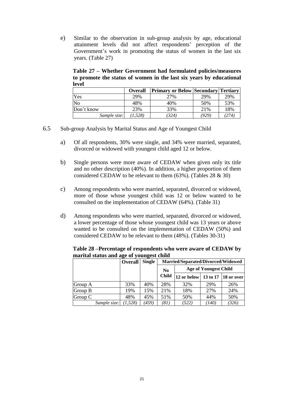e) Similar to the observation in sub-group analysis by age, educational attainment levels did not affect respondents' perception of the Government's work in promoting the status of women in the last six years. (Table 27)

**Table 27 – Whether Government had formulated policies/measures to promote the status of women in the last six years by educational level**

|              | <b>Overall</b> | <b>Primary or Below Secondary Tertiary</b> |       |       |
|--------------|----------------|--------------------------------------------|-------|-------|
| Yes          | 29%            | 27%                                        | 29%   | 29%   |
| No           | 48%            | 40%                                        | 50%   | 53%   |
| Don't know   | 23%            | 33%                                        | 21%   | 18%   |
| Sample size: | (1, 528)       | (324)                                      | (929. | (274) |

- 6.5 Sub-group Analysis by Marital Status and Age of Youngest Child
	- a) Of all respondents, 30% were single, and 34% were married, separated, divorced or widowed with youngest child aged 12 or below.
	- b) Single persons were more aware of CEDAW when given only its title and no other description (40%). In addition, a higher proportion of them considered CEDAW to be relevant to them (63%). (Tables 28 & 30)
	- c) Among respondents who were married, separated, divorced or widowed, more of those whose youngest child was 12 or below wanted to be consulted on the implementation of CEDAW (64%). (Table 31)
	- d) Among respondents who were married, separated, divorced or widowed, a lower percentage of those whose youngest child was 13 years or above wanted to be consulted on the implementation of CEDAW (50%) and considered CEDAW to be relevant to them (48%). (Tables 30-31)

**Table 28 –Percentage of respondents who were aware of CEDAW by marital status and age of youngest child**

|         |              | <b>Overall</b> | <b>Single</b>  | Married/Separated/Divorced/Widowed |                              |       |                       |  |  |  |
|---------|--------------|----------------|----------------|------------------------------------|------------------------------|-------|-----------------------|--|--|--|
|         |              |                | N <sub>0</sub> |                                    | <b>Age of Youngest Child</b> |       |                       |  |  |  |
|         |              |                |                | <b>Child</b>                       | 12 or below                  |       | 13 to 17   18 or over |  |  |  |
| Group A |              | 33%            | 40%            | 28%                                | 32%                          | 29%   | 26%                   |  |  |  |
| Group B |              | 19%            | 15%            | 21\%                               | 18%                          | 27%   | 24%                   |  |  |  |
| Group C |              | 48%            | 45%            | 51%                                | 50%                          | 44%   | 50%                   |  |  |  |
|         | Sample size: | (1,528)        | 459)           | (81)                               | (522)                        | (140) | (326)                 |  |  |  |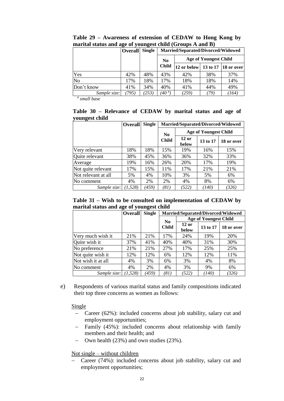|                | <b>Single</b><br>Married/Separated/Divorced/Widowed<br><b>Overall</b> |                                                |                         |             |          |            |  |
|----------------|-----------------------------------------------------------------------|------------------------------------------------|-------------------------|-------------|----------|------------|--|
|                |                                                                       | <b>Age of Youngest Child</b><br>N <sub>0</sub> |                         |             |          |            |  |
|                |                                                                       |                                                | <b>Child</b>            | 12 or below | 13 to 17 | 18 or over |  |
| Yes            | 42%                                                                   | 48%                                            | 43%                     | 42%         | 38%      | 37%        |  |
| N <sub>o</sub> | 17%                                                                   | 18%                                            | 17%                     | 18%         | 18%      | 14%        |  |
| Don't know     | 41%                                                                   | 34%                                            | 40%                     | 41%         | 44%      | 49%        |  |
| Sample size:   | (795)                                                                 | (253)                                          | $^{\prime}40$ $^{\#}$ , | (259)       | 79.      | (164)      |  |

**Table 29 – Awareness of extension of CEDAW to Hong Kong by marital status and age of youngest child (Groups A and B)**

*# small base*

**Table 30 – Relevance of CEDAW by marital status and age of youngest child**

|                     | <b>Overall</b> | <b>Single</b> | Married/Separated/Divorced/Widowed |                                            |                              |       |  |  |
|---------------------|----------------|---------------|------------------------------------|--------------------------------------------|------------------------------|-------|--|--|
|                     |                |               | $\bf No$                           |                                            | <b>Age of Youngest Child</b> |       |  |  |
|                     |                |               | <b>Child</b>                       | $12$ or<br>13 to 17<br>18 or over<br>below |                              |       |  |  |
| Very relevant       | 18%            | 18%           | 15%                                | 19%                                        | 16%                          | 15%   |  |  |
| Quite relevant      | 38%            | 45%           | 36%                                | 36%                                        | 32%                          | 33%   |  |  |
| Average             | 19%            | 16%           | 26%                                | 20%                                        | 17%                          | 19%   |  |  |
| Not quite relevant  | 17%            | 15%           | 11%                                | 17%                                        | 21%                          | 21%   |  |  |
| Not relevant at all | 5%             | 4%            | 10%                                | 3%                                         | 5%                           | 6%    |  |  |
| No comment          | 4%             | 2%            | 2%                                 | 4%                                         | 8%                           | 6%    |  |  |
| Sample size:        | (1, 528)       | (459)         | (81)                               | (522)                                      | (140)                        | (326) |  |  |

**Table 31 – Wish to be consulted on implementation of CEDAW by marital status and age of youngest child**

|                    | <b>Overall</b> | <b>Single</b> | Married/Separated/Divorced/Widowed |                  |                              |            |  |  |  |
|--------------------|----------------|---------------|------------------------------------|------------------|------------------------------|------------|--|--|--|
|                    |                |               | N <sub>0</sub>                     |                  | <b>Age of Youngest Child</b> |            |  |  |  |
|                    |                |               | <b>Child</b>                       | $12$ or<br>below | 13 to 17                     | 18 or over |  |  |  |
| Very much wish it  | 21%            | 21%           | 17%                                | 24%              | 19%                          | 20%        |  |  |  |
| Quite wish it      | 37%            | 41%           | 40%                                | 40%              | 31%                          | 30%        |  |  |  |
| No preference      | 21%            | 21%           | 27%                                | 17%              | 25%                          | 25%        |  |  |  |
| Not quite wish it  | 12%            | 12%           | 6%                                 | 12%              | 12%                          | 11%        |  |  |  |
| Not wish it at all | 4%             | 3%            | 6%                                 | 3%               | 4%                           | 8%         |  |  |  |
| No comment         | 4%             | 2%            | 4%                                 | 3%               | 9%                           | 6%         |  |  |  |
| Sample size:       | (1,528)        | (459)         | (81)                               | (522)            | (140)                        | (326)      |  |  |  |

e) Respondents of various marital status and family compositions indicated their top three concerns as women as follows:

#### Single

- Career (62%): included concerns about job stability, salary cut and employment opportunities;
- Family (45%): included concerns about relationship with family members and their health; and
- Own health (23%) and own studies (23%).

Not single – without children

- Career (74%): included concerns about job stability, salary cut and employment opportunities;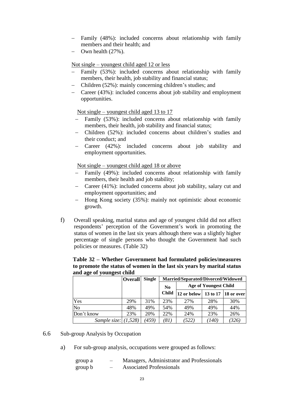- Family (48%): included concerns about relationship with family members and their health; and
- Own health (27%).

#### Not single – youngest child aged 12 or less

- Family (53%): included concerns about relationship with family members, their health, job stability and financial status;
- Children (52%): mainly concerning children's studies; and
- Career (43%): included concerns about job stability and employment opportunities.

Not single – youngest child aged 13 to 17

- Family (53%): included concerns about relationship with family members, their health, job stability and financial status;
- Children (52%): included concerns about children's studies and their conduct; and
- Career (42%): included concerns about job stability and employment opportunities.

Not single – youngest child aged 18 or above

- Family (49%): included concerns about relationship with family members, their health and job stability;
- Career (41%): included concerns about job stability, salary cut and employment opportunities; and
- Hong Kong society (35%): mainly not optimistic about economic growth.
- f) Overall speaking, marital status and age of youngest child did not affect respondents' perception of the Government's work in promoting the status of women in the last six years although there was a slightly higher percentage of single persons who thought the Government had such policies or measures. (Table 32)

**Table 32 – Whether Government had formulated policies/measures to promote the status of women in the last six years by marital status and age of youngest child**

|                        | <b>Overall</b> | <b>Single</b> | Married/Separated/Divorced/Widowed |                              |       |                       |  |  |  |
|------------------------|----------------|---------------|------------------------------------|------------------------------|-------|-----------------------|--|--|--|
|                        |                |               | $\bf No$                           | <b>Age of Youngest Child</b> |       |                       |  |  |  |
|                        |                |               | <b>Child</b>                       | 12 or below                  |       | 13 to 17   18 or over |  |  |  |
| Yes                    | 29%            | 31%           | 23%                                | 27%                          | 28%   | 30%                   |  |  |  |
| N <sub>o</sub>         | 48%            | 49%           | 54%                                | 49%                          | 49%   | 44%                   |  |  |  |
| Don't know             | 23%            | 20%           | 22%                                | 24%                          | 23%   | 26%                   |  |  |  |
| Sample size: $(1,528)$ |                | (459)         | (81)                               | (522)                        | (140) | (326)                 |  |  |  |

#### 6.6 Sub-group Analysis by Occupation

a) For sub-group analysis, occupations were grouped as follows:

| group a |                          | Managers, Administrator and Professionals |
|---------|--------------------------|-------------------------------------------|
| group b | $\overline{\phantom{0}}$ | <b>Associated Professionals</b>           |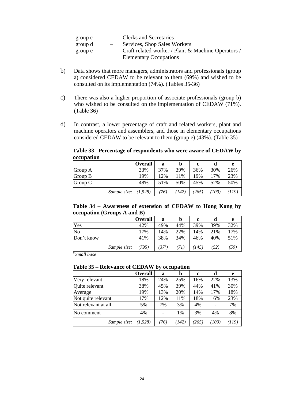| group c | $\frac{1}{2}$ and $\frac{1}{2}$ | <b>Clerks and Secretaries</b>                      |
|---------|---------------------------------|----------------------------------------------------|
| group d | $\overline{\phantom{m}}$        | Services, Shop Sales Workers                       |
| group e |                                 | Craft related worker / Plant & Machine Operators / |
|         |                                 | <b>Elementary Occupations</b>                      |

- b) Data shows that more managers, administrators and professionals (group a) considered CEDAW to be relevant to them (69%) and wished to be consulted on its implementation (74%). (Tables 35-36)
- c) There was also a higher proportion of associate professionals (group b) who wished to be consulted on the implementation of CEDAW (71%). (Table 36)
- d) In contrast, a lower percentage of craft and related workers, plant and machine operators and assemblers, and those in elementary occupations considered CEDAW to be relevant to them (group e) (43%). (Table 35)

**Table 33 –Percentage of respondents who were aware of CEDAW by occupation**

|              | <b>Overall</b> | a    | b     | c     | d     | e     |
|--------------|----------------|------|-------|-------|-------|-------|
| Group A      | 33%            | 37%  | 39%   | 36%   | 30%   | 26%   |
| Group B      | 19%            | 12%  | 11%   | 19%   | 17%   | 23%   |
| Group C      | 48%            | 51%  | 50%   | 45%   | 52%   | 50%   |
| Sample size: | (1,528)        | (76) | (142) | (265) | (109) | (119) |

**Table 34 – Awareness of extension of CEDAW to Hong Kong by occupation (Groups A and B)**

|              | <b>Overall</b> | a          | b   | c    |      | e    |
|--------------|----------------|------------|-----|------|------|------|
| Yes          | 42%            | 49%        | 44% | 39%  | 39%  | 32%  |
| No           | 17%            | 14%        | 22% | 14%  | 21%  | 17%  |
| Don't know   | 41%            | 38%        | 34% | 46%  | 40%  | 51%  |
| Sample size: | (795)          | $(37^{#})$ | 71) | 145) | (52) | (59) |

*# Small base*

#### **Table 35 – Relevance of CEDAW by occupation**

|                     | Overall  | a    | b     | c     | d     | e     |
|---------------------|----------|------|-------|-------|-------|-------|
| Very relevant       | 18%      | 24%  | 25%   | 16%   | 22%   | 13%   |
| Quite relevant      | 38%      | 45%  | 39%   | 44%   | 41%   | 30%   |
| Average             | 19%      | 13%  | 20%   | 14%   | 17%   | 18%   |
| Not quite relevant  | 17%      | 12%  | 11%   | 18%   | 16%   | 23%   |
| Not relevant at all | 5%       | 7%   | 3%    | 4%    |       | 7%    |
| No comment          | 4%       |      | $1\%$ | 3%    | 4%    | 8%    |
| Sample size:        | (1, 528) | (76) | (142) | (265) | (109) | (119) |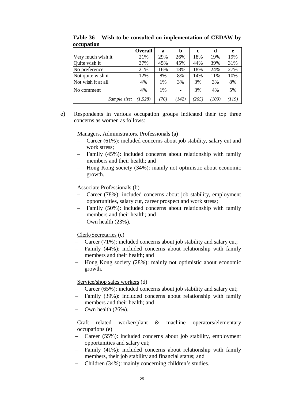|                    | <b>Overall</b> | a    | b     | c     | d     | e     |
|--------------------|----------------|------|-------|-------|-------|-------|
| Very much wish it  | 21%            | 29%  | 26%   | 18%   | 19%   | 19%   |
| Quite wish it      | 37%            | 45%  | 45%   | 44%   | 39%   | 31%   |
| No preference      | 21%            | 16%  | 18%   | 18%   | 24%   | 27%   |
| Not quite wish it  | 12%            | 8%   | 8%    | 14%   | 11%   | 10%   |
| Not wish it at all | 4%             | 1%   | 3%    | 3%    | 3%    | 8%    |
| No comment         | 4%             | 1%   |       | 3%    | 4%    | 5%    |
| Sample size:       | (1, 528)       | (76) | (142) | (265) | (109) | (119) |

**Table 36 – Wish to be consulted on implementation of CEDAW by occupation**

e) Respondents in various occupation groups indicated their top three concerns as women as follows:

Managers, Administrators, Professionals (a)

- Career (61%): included concerns about job stability, salary cut and work stress;
- Family (45%): included concerns about relationship with family members and their health; and
- Hong Kong society (34%): mainly not optimistic about economic growth.

Associate Professionals (b)

- Career (78%): included concerns about job stability, employment opportunities, salary cut, career prospect and work stress;
- Family (50%): included concerns about relationship with family members and their health; and
- $-$  Own health  $(23\%)$ .

Clerk/Secretaries (c)

- Career (71%): included concerns about job stability and salary cut;
- Family (44%): included concerns about relationship with family members and their health; and
- Hong Kong society (28%): mainly not optimistic about economic growth.

Service/shop sales workers (d)

- Career (65%): included concerns about job stability and salary cut;
- Family (39%): included concerns about relationship with family members and their health; and
- $-$  Own health  $(26\%)$ .

Craft related worker/plant & machine operators/elementary occupations (e)

- Career (55%): included concerns about job stability, employment opportunities and salary cut;
- Family (41%): included concerns about relationship with family members, their job stability and financial status; and
- Children (34%): mainly concerning children's studies.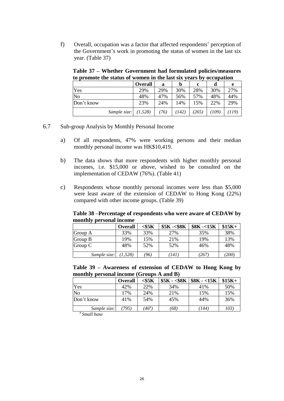f) Overall, occupation was a factor that affected respondents' perception of the Government's work in promoting the status of women in the last six year. (Table 37)

**Table 37 – Whether Government had formulated policies/measures to promote the status of women in the last six years by occupation**

|              | <b>Overall</b> | a    | b     | c     | d     | e     |
|--------------|----------------|------|-------|-------|-------|-------|
| Yes          | 29%            | 29%  | 30%   | 28%   | 30%   | 27%   |
| No           | 48%            | 47%  | 56%   | 57%   | 48%   | 44%   |
| Don't know   | 23%            | 24%  | 14%   | 15%   | 22%   | 29%   |
| Sample size: | (1, 528)       | (76) | (142) | (265) | (109) | (119) |

6.7 Sub-group Analysis by Monthly Personal Income

- a) Of all respondents, 47% were working persons and their median monthly personal income was HK\$10,419.
- b) The data shows that more respondents with higher monthly personal incomes, i.e. \$15,000 or above, wished to be consulted on the implementation of CEDAW (76%). (Table 41)
- c) Respondents whose monthly personal incomes were less than \$5,000 were least aware of the extension of CEDAW to Hong Kong (22%) compared with other income groups. (Table 39)

**Table 38 –Percentage of respondents who were aware of CEDAW by monthly personal income**

|              | <b>Overall</b> | $<$ \$5 $\mathrm{K}$ | $$5K - $8K$ | $$8K -15K$ | $$15K+$ |
|--------------|----------------|----------------------|-------------|------------|---------|
| Group A      | 33%            | 33%                  | 27%         | 35%        | 38%     |
| Group B      | 19%            | 15%                  | 21%         | 19%        | 13%     |
| Group C      | 48%            | 52%                  | 52%         | 46%        | 48%     |
| Sample size: | (1,528)        | '96)                 | (141)       | 267        | (200)   |

**Table 39 – Awareness of extension of CEDAW to Hong Kong by monthly personal income (Groups A and B)**

|              | <b>Overall</b> | $<$ \$5 $K$                          | $$5K - $8K$   $$8K - $15K$ |       | $$15K+$ |
|--------------|----------------|--------------------------------------|----------------------------|-------|---------|
| Yes          | 42%            | 22%                                  | 34%                        | 41%   | 50%     |
| No           | 17%            | 24%                                  | 21%                        | 15%   | 15%     |
| Don't know   | 41%            | 54%                                  | 45%                        | 44%   | 36%     |
| Sample size: | 795)           | $^{\prime}46^{\scriptscriptstyle\#}$ | (68)                       | (144) | 103)    |

*# Small base*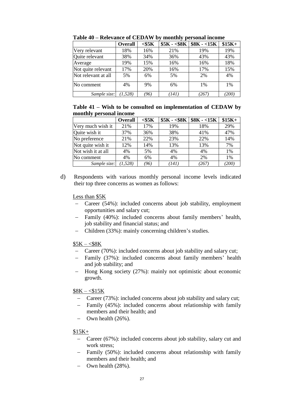|                     | <b>Overall</b> | $<$ \$5 $K$ | $$5K - $8K$ | $$8K - 15K$ | $$15K+$ |
|---------------------|----------------|-------------|-------------|-------------|---------|
| Very relevant       | 18%            | 16%         | 21%         | 19%         | 19%     |
| Quite relevant      | 38%            | 34%         | 36%         | 43%         | 43%     |
| Average             | 19%            | 15%         | 16%         | 16%         | 18%     |
| Not quite relevant  | 17%            | 20%         | 16%         | 17%         | 15%     |
| Not relevant at all | 5%             | 6%          | 5%          | 2%          | 4%      |
| No comment          | 4%             | 9%          | 6%          | 1%          | 1%      |
| Sample size:        | (1, 528)       | '96)        | (141)       | 267)        | (200)   |

**Table 40 – Relevance of CEDAW by monthly personal income**

#### **Table 41 – Wish to be consulted on implementation of CEDAW by monthly personal income**

|                    | <b>Overall</b> | $<$ \$5 $K$ | $$5K - $8K$ | $$8K - 15K$ | $$15K+$ |
|--------------------|----------------|-------------|-------------|-------------|---------|
| Very much wish it  | 21%            | 17%         | 19%         | 18%         | 29%     |
| Quite wish it      | 37%            | 36%         | 38%         | 41%         | 47%     |
| No preference      | 21%            | 22%         | 23%         | 22%         | 14%     |
| Not quite wish it  | 12%            | 14%         | 13%         | 13%         | 7%      |
| Not wish it at all | 4%             | 5%          | 4%          | 4%          | 1%      |
| No comment         | 4%             | 6%          | 4%          | 2%          | 1%      |
| Sample size:       | (1.528)        | '96)        | (141)       | $^{267}$    | (200)   |

d) Respondents with various monthly personal income levels indicated their top three concerns as women as follows:

#### Less than \$5K

- Career (54%): included concerns about job stability, employment opportunities and salary cut;
- Family (40%): included concerns about family members' health, job stability and financial status; and
- Children (33%): mainly concerning children's studies.
- $$5K $8K$ 
	- Career (70%): included concerns about job stability and salary cut;
	- Family (37%): included concerns about family members' health and job stability; and
	- Hong Kong society (27%): mainly not optimistic about economic growth.

### $$8K - $15K$

- Career (73%): included concerns about job stability and salary cut;
- Family (45%): included concerns about relationship with family members and their health; and
- $-$  Own health (26%).

#### \$15K+

- Career (67%): included concerns about job stability, salary cut and work stress;
- Family (50%): included concerns about relationship with family members and their health; and
- $-$  Own health  $(28\%)$ .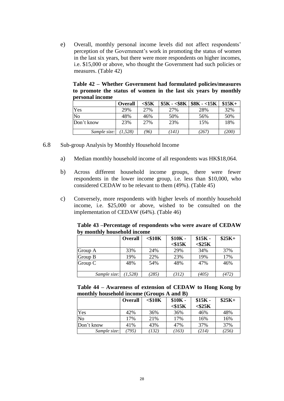e) Overall, monthly personal income levels did not affect respondents' perception of the Government's work in promoting the status of women in the last six years, but there were more respondents on higher incomes, i.e. \$15,000 or above, who thought the Government had such policies or measures. (Table 42)

**Table 42 – Whether Government had formulated policies/measures to promote the status of women in the last six years by monthly personal income**

|              | <b>Overall</b> | $<$ \$5 $\rm K$ | $$5K - $8K$ | $$8K - 15K$ | $$15K+$ |
|--------------|----------------|-----------------|-------------|-------------|---------|
| Yes          | 29%            | 27%             | 27%         | 28%         | 32%     |
| No           | 48%            | 46%             | 50%         | 56%         | 50%     |
| Don't know   | 23%            | 27%             | 23%         | 15%         | 18%     |
| Sample size: | (1.528)        | '96)            | 441.        | 267         | 700)    |

- 6.8 Sub-group Analysis by Monthly Household Income
	- a) Median monthly household income of all respondents was HK\$18,064.
	- b) Across different household income groups, there were fewer respondents in the lower income group, i.e. less than \$10,000, who considered CEDAW to be relevant to them (49%). (Table 45)
	- c) Conversely, more respondents with higher levels of monthly household income, i.e. \$25,000 or above, wished to be consulted on the implementation of CEDAW (64%). (Table 46)

|                             |  | Table 43 –Percentage of respondents who were aware of CEDAW |
|-----------------------------|--|-------------------------------------------------------------|
| by monthly household income |  |                                                             |

|              | <b>Overall</b> | $<$ \$10 $K$ | $$10K -$     | $$15K -$     | $$25K+$ |
|--------------|----------------|--------------|--------------|--------------|---------|
|              |                |              | $<$ \$15 $K$ | $<$ \$25 $K$ |         |
| Group A      | 33%            | 24%          | 29%          | 34%          | 37%     |
| Group B      | 19%            | 22%          | 23%          | 19%          | 17%     |
| Group C      | 48%            | 54%          | 48%          | 47%          | 46%     |
|              |                |              |              |              |         |
| Sample size: | (1,528)        | (285)        | (312)        | (405)        | (472)   |

|  | Table 44 – Awareness of extension of CEDAW to Hong Kong by |  |  |  |
|--|------------------------------------------------------------|--|--|--|
|  | monthly household income (Groups A and B)                  |  |  |  |

|              | <b>Overall</b> | $<$ \$10 $K$ | $$10K -$<br>$<$ \$15 $K$ | $$15K -$<br>$<$ \$25 $K$ | $$25K+$ |
|--------------|----------------|--------------|--------------------------|--------------------------|---------|
| Yes          | 42%            | 36%          | 36%                      | 46%                      | 48%     |
| No           | 17%            | 21%          | 17%                      | 16%                      | 16%     |
| Don't know   | 41%            | 43%          | 47%                      | 37%                      | 37%     |
| Sample size: | 795)           | (132)        | (163)                    | (214)                    | (256)   |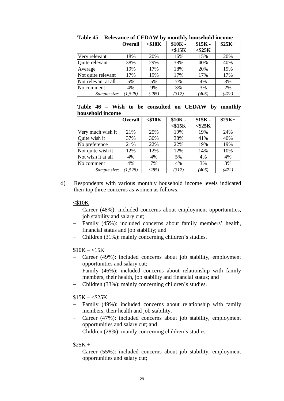|                     | <b>Overall</b> | $<$ \$10 $K$ | $$10K -$     | $$15K -$     | $$25K+$ |
|---------------------|----------------|--------------|--------------|--------------|---------|
|                     |                |              | $<$ \$15 $K$ | $<$ \$25 $K$ |         |
| Very relevant       | 18%            | 20%          | 16%          | 15%          | 20%     |
| Quite relevant      | 38%            | 29%          | 38%          | 40%          | 40%     |
| Average             | 19%            | 17%          | 18%          | 20%          | 19%     |
| Not quite relevant  | 17%            | 19%          | 17%          | 17%          | 17%     |
| Not relevant at all | 5%             | 5%           | 7%           | 4%           | 3%      |
| No comment          | 4%             | 9%           | 3%           | 3%           | 2%      |
| Sample size:        | (1, 528)       | (285)        | (312)        | (405)        | (472)   |

**Table 45 – Relevance of CEDAW by monthly household income**

**Table 46 – Wish to be consulted on CEDAW by monthly household income**

|                    | Overall  | $<$ \$10 $K$ | $$10K -$<br>$<$ \$15 $K$ | $$15K -$<br>$<$ \$25 $K$ | $$25K+$ |
|--------------------|----------|--------------|--------------------------|--------------------------|---------|
| Very much wish it  | 21%      | 25%          | 19%                      | 19%                      | 24%     |
| Quite wish it      | 37%      | 30%          | 38%                      | 41%                      | 40%     |
| No preference      | 21%      | 22%          | 22%                      | 19%                      | 19%     |
| Not quite wish it  | 12%      | 12%          | 12%                      | 14%                      | 10%     |
| Not wish it at all | 4%       | 4%           | 5%                       | 4%                       | 4%      |
| No comment         | 4%       | 7%           | 4%                       | 3%                       | 3%      |
| Sample size:       | (1, 528) | (285)        | (312)                    | (405)                    | (472)   |

d) Respondents with various monthly household income levels indicated their top three concerns as women as follows:

#### $<$ \$10K

- Career (48%): included concerns about employment opportunities, job stability and salary cut;
- Family (45%): included concerns about family members' health, financial status and job stability; and
- Children (31%): mainly concerning children's studies.

#### $$10K - 15K$

- Career (49%): included concerns about job stability, employment opportunities and salary cut;
- Family (46%): included concerns about relationship with family members, their health, job stability and financial status; and
- Children (33%): mainly concerning children's studies.

#### $$15K - $25K$

- Family (49%): included concerns about relationship with family members, their health and job stability;
- Career (47%): included concerns about job stability, employment opportunities and salary cut; and
- Children (28%): mainly concerning children's studies.

#### $$25K +$

 Career (55%): included concerns about job stability, employment opportunities and salary cut;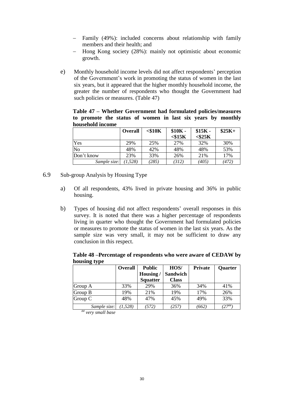- Family (49%): included concerns about relationship with family members and their health; and
- Hong Kong society (28%): mainly not optimistic about economic growth.
- e) Monthly household income levels did not affect respondents' perception of the Government's work in promoting the status of women in the last six years, but it appeared that the higher monthly household income, the greater the number of respondents who thought the Government had such policies or measures. (Table 47)

**Table 47 – Whether Government had formulated policies/measures to promote the status of women in last six years by monthly household income**

|              | <b>Overall</b> | $<$ \$10 $K$ | $$10K -$     | $$15K -$     | $$25K+$ |
|--------------|----------------|--------------|--------------|--------------|---------|
|              |                |              | $<$ \$15 $K$ | $<$ \$25 $K$ |         |
| Yes          | 29%            | 25%          | 27%          | 32%          | 30%     |
| No           | 48%            | 42%          | 48%          | 48%          | 53%     |
| Don't know   | 23%            | 33%          | 26%          | 21%          | 17%     |
| Sample size: | (1, 528)       | (285)        | (312)        | (405)        | (472)   |

- 6.9 Sub-group Analysis by Housing Type
	- a) Of all respondents, 43% lived in private housing and 36% in public housing.
	- b) Types of housing did not affect respondents' overall responses in this survey. It is noted that there was a higher percentage of respondents living in quarter who thought the Government had formulated policies or measures to promote the status of women in the last six years. As the sample size was very small, it may not be sufficient to draw any conclusion in this respect.

**Table 48 –Percentage of respondents who were aware of CEDAW by housing type**

|                                    | Overall | <b>Public</b>   | HOS/            | <b>Private</b> | Quarter           |
|------------------------------------|---------|-----------------|-----------------|----------------|-------------------|
|                                    |         | Housing/        | <b>Sandwich</b> |                |                   |
|                                    |         | <b>Squatter</b> | <b>Class</b>    |                |                   |
| Group A                            | 33%     | 29%             | 36%             | 34%            | 41%               |
| Group B                            | 19%     | 21%             | 19%             | 17%            | 26%               |
| Group C                            | 48%     | 47%             | 45%             | 49%            | 33%               |
| Sample size:<br>Ш<br>$\sim$ $\sim$ | (1.528) | (572)           | (257)           | (662)          | $^{(27^{\# \#})}$ |

*<sup>##</sup> very small base*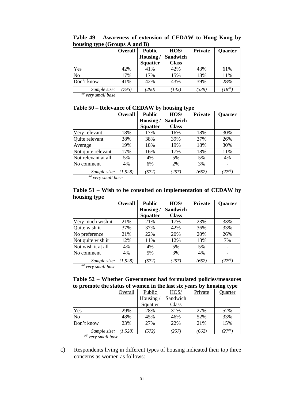|                | <b>Overall</b> | <b>Public</b>   | HOS/            | <b>Private</b> | Quarter                                                 |
|----------------|----------------|-----------------|-----------------|----------------|---------------------------------------------------------|
|                |                | Housing/        | <b>Sandwich</b> |                |                                                         |
|                |                | <b>Squatter</b> | <b>Class</b>    |                |                                                         |
| Yes            | 42%            | 41%             | 42%             | 43%            | 61%                                                     |
| N <sub>o</sub> | 17%            | 17%             | 15%             | 18%            | 11%                                                     |
| Don't know     | 41%            | 42%             | 43%             | 39%            | 28%                                                     |
| Sample size:   | 795)           | (290            | (142)           | (339)          | $^\prime18^{\scriptscriptstyle\# \scriptscriptstyle\#}$ |

**Table 49 – Awareness of extension of CEDAW to Hong Kong by housing type (Groups A and B)**

*## very small base*

#### **Table 50 – Relevance of CEDAW by housing type**

|                      | <b>Overall</b> | <b>Public</b>   | HOS/            | <b>Private</b> | Quarter             |
|----------------------|----------------|-----------------|-----------------|----------------|---------------------|
|                      |                | Housing/        | <b>Sandwich</b> |                |                     |
|                      |                | <b>Squatter</b> | <b>Class</b>    |                |                     |
| Very relevant        | 18%            | 17%             | 16%             | 18%            | 30%                 |
| Quite relevant       | 38%            | 38%             | 39%             | 37%            | 26%                 |
| Average              | 19%            | 18%             | 19%             | 18%            | 30%                 |
| Not quite relevant   | 17%            | 16%             | 17%             | 18%            | 11%                 |
| Not relevant at all  | 5%             | 4%              | 5%              | 5%             | 4%                  |
| No comment           | 4%             | 6%              | 2%              | 3%             |                     |
| Sample size:<br>1111 | (1, 528)       | (572)           | (257)           | (662)          | $'27$ <sup>##</sup> |

*## very small base*

**Table 51 – Wish to be consulted on implementation of CEDAW by housing type**

| $\sigma \nu$       | <b>Overall</b> | <b>Public</b>   | HOS/            | <b>Private</b> | Quarter     |
|--------------------|----------------|-----------------|-----------------|----------------|-------------|
|                    |                | Housing/        | <b>Sandwich</b> |                |             |
|                    |                | <b>Squatter</b> | <b>Class</b>    |                |             |
| Very much wish it  | 21%            | 21%             | 17%             | 23%            | 33%         |
| Quite wish it      | 37%            | 37%             | 42%             | 36%            | 33%         |
| No preference      | 21%            | 22%             | 20%             | 20%            | 26%         |
| Not quite wish it  | 12%            | 11%             | 12%             | 13%            | 7%          |
| Not wish it at all | 4%             | 4%              | 5%              | 5%             |             |
| No comment         | 4%             | 5%              | 3%              | 4%             |             |
| Sample size:<br>## | (1, 528)       | (572)           | (257)           | (662)          | $(27^{$ #}) |

*## very small base*

|  |  | Table 52 – Whether Government had formulated policies/measures       |
|--|--|----------------------------------------------------------------------|
|  |  | to promote the status of women in the last six years by housing type |

|              | Overall  | Public   | HOS/     | Private | Quarter   |
|--------------|----------|----------|----------|---------|-----------|
|              |          | Housing/ | Sandwich |         |           |
|              |          | Squatter | Class    |         |           |
| Yes          | 29%      | 28%      | 31%      | 27%     | 52%       |
| No           | 48%      | 45%      | 46%      | 52%     | 33%       |
| Don't know   | 23%      | 27%      | 22%      | 21%     | 15%       |
| Sample size: | (1, 528) | (572)    | (257)    | (662)   | $27^{$ #} |
| 1111         |          |          |          |         |           |

*## very small base*

c) Respondents living in different types of housing indicated their top three concerns as women as follows: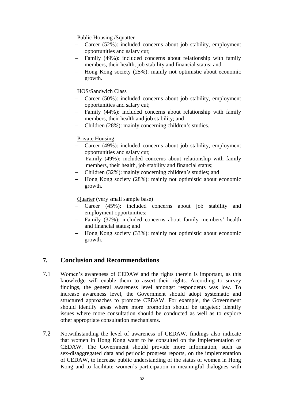#### Public Housing /Squatter

- Career (52%): included concerns about job stability, employment opportunities and salary cut;
- Family (49%): included concerns about relationship with family members, their health, job stability and financial status; and
- Hong Kong society (25%): mainly not optimistic about economic growth.

#### HOS/Sandwich Class

- Career (50%): included concerns about job stability, employment opportunities and salary cut;
- Family (44%): included concerns about relationship with family members, their health and job stability; and
- Children (28%): mainly concerning children's studies.

#### Private Housing

 Career (49%): included concerns about job stability, employment opportunities and salary cut;

Family (49%): included concerns about relationship with family members, their health, job stability and financial status;

- Children (32%): mainly concerning children's studies; and
- Hong Kong society (28%): mainly not optimistic about economic growth.

Quarter (very small sample base)

- Career (45%): included concerns about job stability and employment opportunities;
- Family (37%): included concerns about family members' health and financial status; and
- Hong Kong society (33%): mainly not optimistic about economic growth.

### <span id="page-31-0"></span>**7. Conclusion and Recommendations**

- 7.1 Women's awareness of CEDAW and the rights therein is important, as this knowledge will enable them to assert their rights. According to survey findings, the general awareness level amongst respondents was low. To increase awareness level, the Government should adopt systematic and structured approaches to promote CEDAW. For example, the Government should identify areas where more promotion should be targeted; identify issues where more consultation should be conducted as well as to explore other appropriate consultation mechanisms.
- 7.2 Notwithstanding the level of awareness of CEDAW, findings also indicate that women in Hong Kong want to be consulted on the implementation of CEDAW. The Government should provide more information, such as sex-disaggregated data and periodic progress reports, on the implementation of CEDAW, to increase public understanding of the status of women in Hong Kong and to facilitate women's participation in meaningful dialogues with